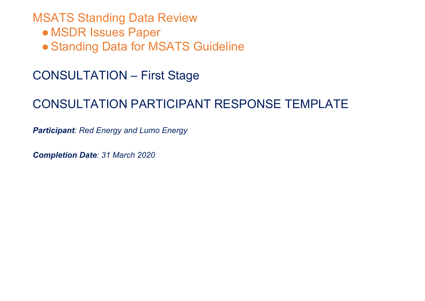## MSATS Standing Data Review

- MSDR Issues Paper
- **Standing Data for MSATS Guideline**

## CONSULTATION – First Stage

# CONSULTATION PARTICIPANT RESPONSE TEMPLATE

*Participant: Red Energy and Lumo Energy*

*Completion Date: 31 March 2020*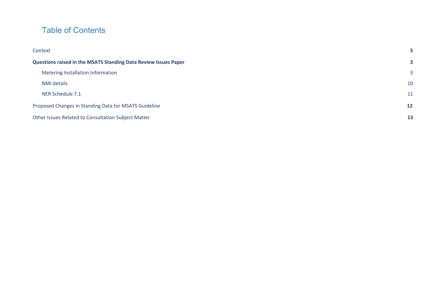## Table of Contents

| Context                                                         | 3            |  |
|-----------------------------------------------------------------|--------------|--|
| Questions raised in the MSATS Standing Data Review Issues Paper | 3            |  |
| Metering Installation Information                               | $\mathbf{3}$ |  |
| NMI details                                                     | 10           |  |
| NER Schedule 7.1                                                |              |  |
| Proposed Changes in Standing Data for MSATS Guideline           |              |  |
| Other Issues Related to Consultation Subject Matter             |              |  |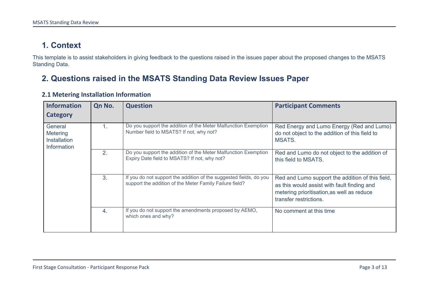## <span id="page-2-0"></span>**1. Context**

This template is to assist stakeholders in giving feedback to the questions raised in the issues paper about the proposed changes to the MSATS Standing Data.

### <span id="page-2-1"></span>**2. Questions raised in the MSATS Standing Data Review Issues Paper**

| <b>Information</b><br>Category                                   | Qn No.           | <b>Question</b>                                                                                                               | <b>Participant Comments</b>                                                                                                                                             |
|------------------------------------------------------------------|------------------|-------------------------------------------------------------------------------------------------------------------------------|-------------------------------------------------------------------------------------------------------------------------------------------------------------------------|
| General<br><b>Metering</b><br><b>Installation</b><br>Information |                  | Do you support the addition of the Meter Malfunction Exemption<br>Number field to MSATS? If not, why not?                     | Red Energy and Lumo Energy (Red and Lumo)<br>do not object to the addition of this field to<br>MSATS.                                                                   |
|                                                                  | 2.               | Do you support the addition of the Meter Malfunction Exemption<br>Expiry Date field to MSATS? If not, why not?                | Red and Lumo do not object to the addition of<br>this field to MSATS.                                                                                                   |
|                                                                  | 3.               | If you do not support the addition of the suggested fields, do you<br>support the addition of the Meter Family Failure field? | Red and Lumo support the addition of this field,<br>as this would assist with fault finding and<br>metering prioritisation, as well as reduce<br>transfer restrictions. |
|                                                                  | $\overline{4}$ . | If you do not support the amendments proposed by AEMO,<br>which ones and why?                                                 | No comment at this time                                                                                                                                                 |

#### <span id="page-2-2"></span>**2.1 Metering Installation Information**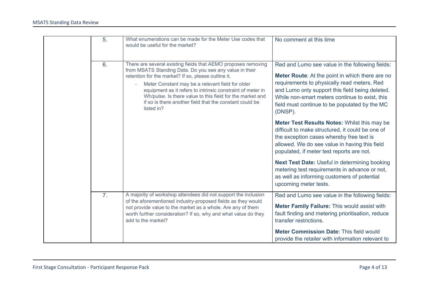| $\overline{5}$ . | What enumerations can be made for the Meter Use codes that<br>would be useful for the market?                                                                                                                                                                                                                                                                                                                                           | No comment at this time                                                                                                                                                                                                                                                                                            |
|------------------|-----------------------------------------------------------------------------------------------------------------------------------------------------------------------------------------------------------------------------------------------------------------------------------------------------------------------------------------------------------------------------------------------------------------------------------------|--------------------------------------------------------------------------------------------------------------------------------------------------------------------------------------------------------------------------------------------------------------------------------------------------------------------|
| 6.               | There are several existing fields that AEMO proposes removing<br>from MSATS Standing Data. Do you see any value in their<br>retention for the market? If so, please outline it.<br>Meter Constant may be a relevant field for older<br>equipment as it refers to intrinsic constraint of meter in<br>Wh/pulse. Is there value to this field for the market and<br>if so is there another field that the constant could be<br>listed in? | Red and Lumo see value in the following fields:<br>Meter Route: At the point in which there are no<br>requirements to physically read meters, Red<br>and Lumo only support this field being deleted.<br>While non-smart meters continue to exist, this<br>field must continue to be populated by the MC<br>(DNSP). |
|                  |                                                                                                                                                                                                                                                                                                                                                                                                                                         | Meter Test Results Notes: Whilst this may be<br>difficult to make structured, it could be one of<br>the exception cases whereby free text is<br>allowed. We do see value in having this field<br>populated, if meter test reports are not.                                                                         |
|                  |                                                                                                                                                                                                                                                                                                                                                                                                                                         | Next Test Date: Useful in determining booking<br>metering test requirements in advance or not,<br>as well as informing customers of potential<br>upcoming meter tests.                                                                                                                                             |
| $\overline{7}$ . | A majority of workshop attendees did not support the inclusion<br>of the aforementioned industry-proposed fields as they would<br>not provide value to the market as a whole. Are any of them<br>worth further consideration? If so, why and what value do they<br>add to the market?                                                                                                                                                   | Red and Lumo see value in the following fields:<br>Meter Family Failure: This would assist with<br>fault finding and metering prioritisation, reduce<br>transfer restrictions.                                                                                                                                     |
|                  |                                                                                                                                                                                                                                                                                                                                                                                                                                         | <b>Meter Commission Date: This field would</b><br>provide the retailer with information relevant to                                                                                                                                                                                                                |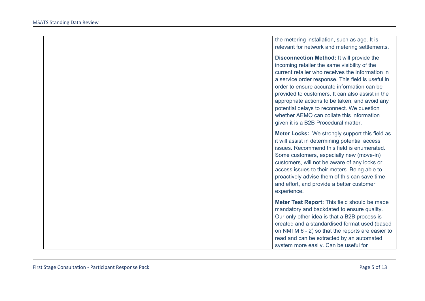|  | the metering installation, such as age. It is<br>relevant for network and metering settlements.                                                                                                                                                                                                                                                                                                                                                                                                   |
|--|---------------------------------------------------------------------------------------------------------------------------------------------------------------------------------------------------------------------------------------------------------------------------------------------------------------------------------------------------------------------------------------------------------------------------------------------------------------------------------------------------|
|  | <b>Disconnection Method: It will provide the</b><br>incoming retailer the same visibility of the<br>current retailer who receives the information in<br>a service order response. This field is useful in<br>order to ensure accurate information can be<br>provided to customers. It can also assist in the<br>appropriate actions to be taken, and avoid any<br>potential delays to reconnect. We question<br>whether AEMO can collate this information<br>given it is a B2B Procedural matter. |
|  | <b>Meter Locks:</b> We strongly support this field as<br>it will assist in determining potential access<br>issues. Recommend this field is enumerated.<br>Some customers, especially new (move-in)<br>customers, will not be aware of any locks or<br>access issues to their meters. Being able to<br>proactively advise them of this can save time<br>and effort, and provide a better customer<br>experience.                                                                                   |
|  | Meter Test Report: This field should be made<br>mandatory and backdated to ensure quality.<br>Our only other idea is that a B2B process is<br>created and a standardised format used (based<br>on NMI M 6 - 2) so that the reports are easier to<br>read and can be extracted by an automated<br>system more easily. Can be useful for                                                                                                                                                            |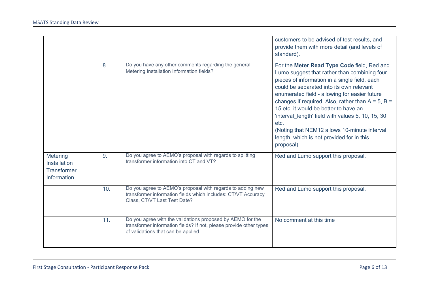|                                                                      |     |                                                                                                                                                                         | customers to be advised of test results, and<br>provide them with more detail (and levels of<br>standard).                                                                                                                                                                                                                                                                                                                                                                                                           |
|----------------------------------------------------------------------|-----|-------------------------------------------------------------------------------------------------------------------------------------------------------------------------|----------------------------------------------------------------------------------------------------------------------------------------------------------------------------------------------------------------------------------------------------------------------------------------------------------------------------------------------------------------------------------------------------------------------------------------------------------------------------------------------------------------------|
|                                                                      | 8.  | Do you have any other comments regarding the general<br>Metering Installation Information fields?                                                                       | For the Meter Read Type Code field, Red and<br>Lumo suggest that rather than combining four<br>pieces of information in a single field, each<br>could be separated into its own relevant<br>enumerated field - allowing for easier future<br>changes if required. Also, rather than $A = 5$ , $B =$<br>15 etc, it would be better to have an<br>'interval length' field with values 5, 10, 15, 30<br>etc.<br>(Noting that NEM12 allows 10-minute interval<br>length, which is not provided for in this<br>proposal). |
| Metering<br><b>Installation</b><br><b>Transformer</b><br>Information | 9.  | Do you agree to AEMO's proposal with regards to splitting<br>transformer information into CT and VT?                                                                    | Red and Lumo support this proposal.                                                                                                                                                                                                                                                                                                                                                                                                                                                                                  |
|                                                                      | 10. | Do you agree to AEMO's proposal with regards to adding new<br>transformer information fields which includes: CT/VT Accuracy<br>Class, CT/VT Last Test Date?             | Red and Lumo support this proposal.                                                                                                                                                                                                                                                                                                                                                                                                                                                                                  |
|                                                                      | 11. | Do you agree with the validations proposed by AEMO for the<br>transformer information fields? If not, please provide other types<br>of validations that can be applied. | No comment at this time                                                                                                                                                                                                                                                                                                                                                                                                                                                                                              |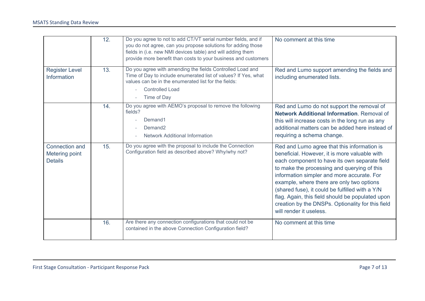|                                                    | 12. | Do you agree to not to add CT/VT serial number fields, and if<br>you do not agree, can you propose solutions for adding those<br>fields in (i.e. new NMI devices table) and will adding them<br>provide more benefit than costs to your business and customers | No comment at this time                                                                                                                                                                                                                                                                                                                                                                                                                                                        |
|----------------------------------------------------|-----|----------------------------------------------------------------------------------------------------------------------------------------------------------------------------------------------------------------------------------------------------------------|--------------------------------------------------------------------------------------------------------------------------------------------------------------------------------------------------------------------------------------------------------------------------------------------------------------------------------------------------------------------------------------------------------------------------------------------------------------------------------|
| <b>Register Level</b><br>Information               | 13. | Do you agree with amending the fields Controlled Load and<br>Time of Day to include enumerated list of values? If Yes, what<br>values can be in the enumerated list for the fields:<br><b>Controlled Load</b><br>Time of Day                                   | Red and Lumo support amending the fields and<br>including enumerated lists.                                                                                                                                                                                                                                                                                                                                                                                                    |
|                                                    | 14. | Do you agree with AEMO's proposal to remove the following<br>fields?<br>Demand1<br>Demand <sub>2</sub><br><b>Network Additional Information</b>                                                                                                                | Red and Lumo do not support the removal of<br><b>Network Additional Information. Removal of</b><br>this will increase costs in the long run as any<br>additional matters can be added here instead of<br>requiring a schema change.                                                                                                                                                                                                                                            |
| Connection and<br>Metering point<br><b>Details</b> | 15. | Do you agree with the proposal to include the Connection<br>Configuration field as described above? Why/why not?                                                                                                                                               | Red and Lumo agree that this information is<br>beneficial. However, it is more valuable with<br>each component to have its own separate field<br>to make the processing and querying of this<br>information simpler and more accurate. For<br>example, where there are only two options<br>(shared fuse), it could be fulfilled with a Y/N<br>flag. Again, this field should be populated upon<br>creation by the DNSPs. Optionality for this field<br>will render it useless. |
|                                                    | 16. | Are there any connection configurations that could not be<br>contained in the above Connection Configuration field?                                                                                                                                            | No comment at this time                                                                                                                                                                                                                                                                                                                                                                                                                                                        |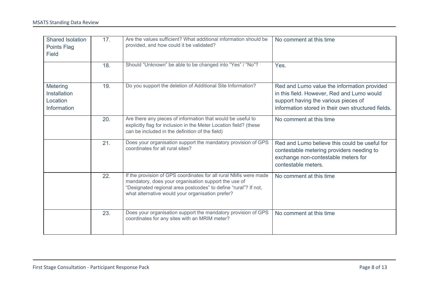| <b>Shared Isolation</b><br>Points Flag<br><b>Field</b>     | 17. | Are the values sufficient? What additional information should be<br>provided, and how could it be validated?                                                                                                                                    | No comment at this time                                                                                                                                                                 |
|------------------------------------------------------------|-----|-------------------------------------------------------------------------------------------------------------------------------------------------------------------------------------------------------------------------------------------------|-----------------------------------------------------------------------------------------------------------------------------------------------------------------------------------------|
|                                                            | 18. | Should "Unknown" be able to be changed into "Yes" / "No"?                                                                                                                                                                                       | Yes.                                                                                                                                                                                    |
| Metering<br><b>Installation</b><br>Location<br>Information | 19. | Do you support the deletion of Additional Site Information?                                                                                                                                                                                     | Red and Lumo value the information provided<br>in this field. However, Red and Lumo would<br>support having the various pieces of<br>information stored in their own structured fields. |
|                                                            | 20. | Are there any pieces of information that would be useful to<br>explicitly flag for inclusion in the Meter Location field? (these<br>can be included in the definition of the field)                                                             | No comment at this time                                                                                                                                                                 |
|                                                            | 21. | Does your organisation support the mandatory provision of GPS<br>coordinates for all rural sites?                                                                                                                                               | Red and Lumo believe this could be useful for<br>contestable metering providers needing to<br>exchange non-contestable meters for<br>contestable meters.                                |
|                                                            | 22. | If the provision of GPS coordinates for all rural NMIs were made<br>mandatory, does your organisation support the use of<br>"Designated regional area postcodes" to define "rural"? If not,<br>what alternative would your organisation prefer? | No comment at this time                                                                                                                                                                 |
|                                                            | 23. | Does your organisation support the mandatory provision of GPS<br>coordinates for any sites with an MRIM meter?                                                                                                                                  | No comment at this time                                                                                                                                                                 |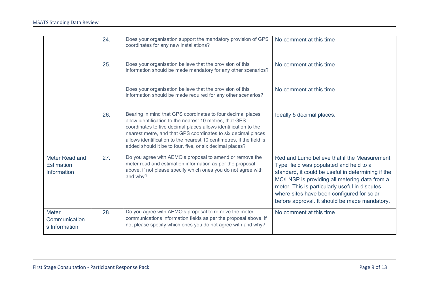|                                                    | 24. | Does your organisation support the mandatory provision of GPS<br>coordinates for any new installations?                                                                                                                                                                                                                                                                                        | No comment at this time                                                                                                                                                                                                                                                                                                                        |
|----------------------------------------------------|-----|------------------------------------------------------------------------------------------------------------------------------------------------------------------------------------------------------------------------------------------------------------------------------------------------------------------------------------------------------------------------------------------------|------------------------------------------------------------------------------------------------------------------------------------------------------------------------------------------------------------------------------------------------------------------------------------------------------------------------------------------------|
|                                                    | 25. | Does your organisation believe that the provision of this<br>information should be made mandatory for any other scenarios?                                                                                                                                                                                                                                                                     | No comment at this time                                                                                                                                                                                                                                                                                                                        |
|                                                    |     | Does your organisation believe that the provision of this<br>information should be made required for any other scenarios?                                                                                                                                                                                                                                                                      | No comment at this time                                                                                                                                                                                                                                                                                                                        |
|                                                    | 26. | Bearing in mind that GPS coordinates to four decimal places<br>allow identification to the nearest 10 metres, that GPS<br>coordinates to five decimal places allows identification to the<br>nearest metre, and that GPS coordinates to six decimal places<br>allows identification to the nearest 10 centimetres, if the field is<br>added should it be to four, five, or six decimal places? | Ideally 5 decimal places.                                                                                                                                                                                                                                                                                                                      |
| Meter Read and<br><b>Estimation</b><br>Information | 27. | Do you agree with AEMO's proposal to amend or remove the<br>meter read and estimation information as per the proposal<br>above, if not please specify which ones you do not agree with<br>and why?                                                                                                                                                                                             | Red and Lumo believe that if the Measurement<br>Type field was populated and held to a<br>standard, it could be useful in determining if the<br>MC/LNSP is providing all metering data from a<br>meter. This is particularly useful in disputes<br>where sites have been configured for solar<br>before approval. It should be made mandatory. |
| <b>Meter</b><br>Communication<br>s Information     | 28. | Do you agree with AEMO's proposal to remove the meter<br>communications information fields as per the proposal above, if<br>not please specify which ones you do not agree with and why?                                                                                                                                                                                                       | No comment at this time                                                                                                                                                                                                                                                                                                                        |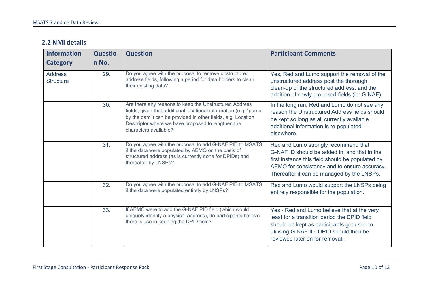#### <span id="page-9-0"></span>**2.2 NMI details**

| <b>Information</b><br><b>Category</b> | <b>Questio</b><br>n No. | <b>Question</b>                                                                                                                                                                                                                                                         | <b>Participant Comments</b>                                                                                                                                                                                                            |
|---------------------------------------|-------------------------|-------------------------------------------------------------------------------------------------------------------------------------------------------------------------------------------------------------------------------------------------------------------------|----------------------------------------------------------------------------------------------------------------------------------------------------------------------------------------------------------------------------------------|
|                                       |                         |                                                                                                                                                                                                                                                                         |                                                                                                                                                                                                                                        |
| <b>Address</b><br><b>Structure</b>    | 29.                     | Do you agree with the proposal to remove unstructured<br>address fields, following a period for data holders to clean<br>their existing data?                                                                                                                           | Yes, Red and Lumo support the removal of the<br>unstructured address post the thorough<br>clean-up of the structured address, and the<br>addition of newly proposed fields (ie: G-NAF).                                                |
|                                       | 30.                     | Are there any reasons to keep the Unstructured Address<br>fields, given that additional locational information (e.g. "pump<br>by the dam") can be provided in other fields, e.g. Location<br>Descriptor where we have proposed to lengthen the<br>characters available? | In the long run, Red and Lumo do not see any<br>reason the Unstructured Address fields should<br>be kept so long as all currently available<br>additional information is re-populated<br>elsewhere.                                    |
|                                       | 31.                     | Do you agree with the proposal to add G-NAF PID to MSATS<br>if the data were populated by AEMO on the basis of<br>structured address (as is currently done for DPIDs) and<br>thereafter by LNSPs?                                                                       | Red and Lumo strongly recommend that<br>G-NAF ID should be added in, and that in the<br>first instance this field should be populated by<br>AEMO for consistency and to ensure accuracy.<br>Thereafter it can be managed by the LNSPs. |
|                                       | 32.                     | Do you agree with the proposal to add G-NAF PID to MSATS<br>if the data were populated entirely by LNSPs?                                                                                                                                                               | Red and Lumo would support the LNSPs being<br>entirely responsible for the population.                                                                                                                                                 |
|                                       | 33.                     | If AEMO were to add the G-NAF PID field (which would<br>uniquely identify a physical address), do participants believe<br>there is use in keeping the DPID field?                                                                                                       | Yes - Red and Lumo believe that at the very<br>least for a transition period the DPID field<br>should be kept as participants get used to<br>utilising G-NAF ID. DPID should then be<br>reviewed later on for removal.                 |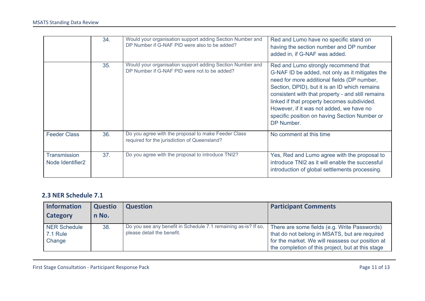|                                              | 34. | Would your organisation support adding Section Number and<br>DP Number if G-NAF PID were also to be added? | Red and Lumo have no specific stand on<br>having the section number and DP number<br>added in, if G-NAF was added.                                                                                                                                                                                                                                                                                     |
|----------------------------------------------|-----|------------------------------------------------------------------------------------------------------------|--------------------------------------------------------------------------------------------------------------------------------------------------------------------------------------------------------------------------------------------------------------------------------------------------------------------------------------------------------------------------------------------------------|
|                                              | 35. | Would your organisation support adding Section Number and<br>DP Number if G-NAF PID were not to be added?  | Red and Lumo strongly recommend that<br>G-NAF ID be added, not only as it mitigates the<br>need for more additional fields (DP number,<br>Section, DPID), but it is an ID which remains<br>consistent with that property - and still remains<br>linked if that property becomes subdivided.<br>However, if it was not added, we have no<br>specific position on having Section Number or<br>DP Number. |
| <b>Feeder Class</b>                          | 36. | Do you agree with the proposal to make Feeder Class<br>required for the jurisdiction of Queensland?        | No comment at this time                                                                                                                                                                                                                                                                                                                                                                                |
| Transmission<br>Node Identifier <sub>2</sub> | 37. | Do you agree with the proposal to introduce TNI2?                                                          | Yes, Red and Lumo agree with the proposal to<br>introduce TNI2 as it will enable the successful<br>introduction of global settlements processing.                                                                                                                                                                                                                                                      |

#### <span id="page-10-0"></span>**2.3 NER Schedule 7.1**

| Information<br>Category                          | <b>Questio</b><br>n No. | <b>Question</b>                                                                              | <b>Participant Comments</b>                                                                                                                                                                            |
|--------------------------------------------------|-------------------------|----------------------------------------------------------------------------------------------|--------------------------------------------------------------------------------------------------------------------------------------------------------------------------------------------------------|
| <b>NER Schedule</b><br><b>7.1 Rule</b><br>Change | 38.                     | Do you see any benefit in Schedule 7.1 remaining as-is? If so,<br>please detail the benefit. | There are some fields (e.g. Write Passwords)<br>that do not belong in MSATS, but are required<br>for the market. We will reassess our position at<br>the completion of this project, but at this stage |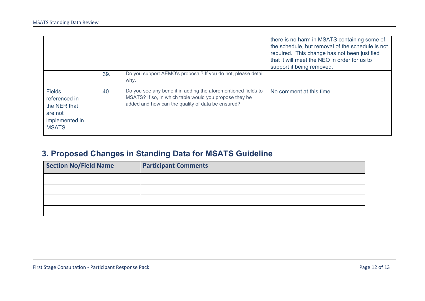|                                                                                             |     |                                                                                                                                                                              | there is no harm in MSATS containing some of<br>the schedule, but removal of the schedule is not<br>required. This change has not been justified<br>that it will meet the NEO in order for us to<br>support it being removed. |
|---------------------------------------------------------------------------------------------|-----|------------------------------------------------------------------------------------------------------------------------------------------------------------------------------|-------------------------------------------------------------------------------------------------------------------------------------------------------------------------------------------------------------------------------|
|                                                                                             | 39. | Do you support AEMO's proposal? If you do not, please detail<br>why.                                                                                                         |                                                                                                                                                                                                                               |
| <b>Fields</b><br>referenced in<br>the NER that<br>are not<br>implemented in<br><b>MSATS</b> | 40. | Do you see any benefit in adding the aforementioned fields to<br>MSATS? If so, in which table would you propose they be<br>added and how can the quality of data be ensured? | No comment at this time                                                                                                                                                                                                       |

## <span id="page-11-0"></span>**3. Proposed Changes in Standing Data for MSATS Guideline**

| <b>Section No/Field Name</b> | <b>Participant Comments</b> |
|------------------------------|-----------------------------|
|                              |                             |
|                              |                             |
|                              |                             |
|                              |                             |